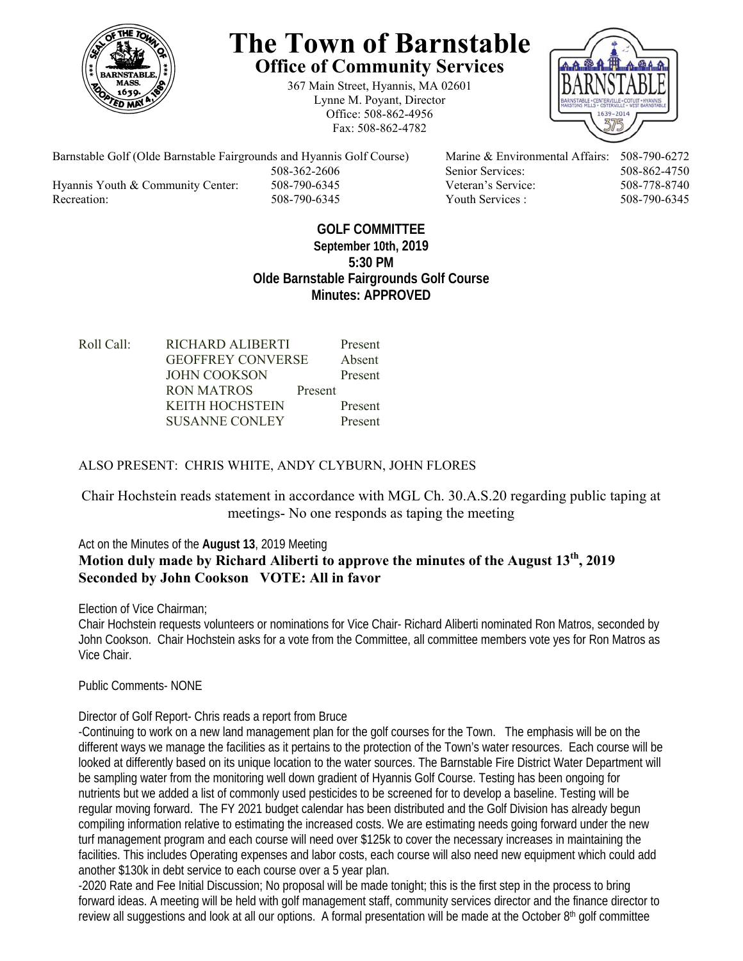

# **The Town of Barnstable Office of Community Services**

367 Main Street, Hyannis, MA 02601 Lynne M. Poyant, Director Office: 508-862-4956 Fax: 508-862-4782



Barnstable Golf (Olde Barnstable Fairgrounds and Hyannis Golf Course) Marine & Environmental Affairs: 508-790-6272 508-362-2606 Senior Services: 508-862-4750 Hyannis Youth & Community Center: 508-790-6345 Veteran's Service: 508-778-8740

Recreation: 508-790-6345 Youth Services : 508-790-6345 S08-790-6345

#### **GOLF COMMITTEE September 10th, 2019 5:30 PM Olde Barnstable Fairgrounds Golf Course Minutes: APPROVED**

Roll Call: RICHARD ALIBERTI Present GEOFFREY CONVERSE Absent JOHN COOKSON Present RON MATROS Present KEITH HOCHSTEIN Present SUSANNE CONLEY Present

## ALSO PRESENT: CHRIS WHITE, ANDY CLYBURN, JOHN FLORES

## Chair Hochstein reads statement in accordance with MGL Ch. 30.A.S.20 regarding public taping at meetings- No one responds as taping the meeting

## Act on the Minutes of the **August 13**, 2019 Meeting **Motion duly made by Richard Aliberti to approve the minutes of the August 13th, 2019 Seconded by John Cookson VOTE: All in favor**

Election of Vice Chairman;

Chair Hochstein requests volunteers or nominations for Vice Chair- Richard Aliberti nominated Ron Matros, seconded by John Cookson. Chair Hochstein asks for a vote from the Committee, all committee members vote yes for Ron Matros as Vice Chair.

Public Comments- NONE

Director of Golf Report- Chris reads a report from Bruce

-Continuing to work on a new land management plan for the golf courses for the Town. The emphasis will be on the different ways we manage the facilities as it pertains to the protection of the Town's water resources. Each course will be looked at differently based on its unique location to the water sources. The Barnstable Fire District Water Department will be sampling water from the monitoring well down gradient of Hyannis Golf Course. Testing has been ongoing for nutrients but we added a list of commonly used pesticides to be screened for to develop a baseline. Testing will be regular moving forward. The FY 2021 budget calendar has been distributed and the Golf Division has already begun compiling information relative to estimating the increased costs. We are estimating needs going forward under the new turf management program and each course will need over \$125k to cover the necessary increases in maintaining the facilities. This includes Operating expenses and labor costs, each course will also need new equipment which could add another \$130k in debt service to each course over a 5 year plan.

-2020 Rate and Fee Initial Discussion; No proposal will be made tonight; this is the first step in the process to bring forward ideas. A meeting will be held with golf management staff, community services director and the finance director to review all suggestions and look at all our options. A formal presentation will be made at the October  $8<sup>th</sup>$  golf committee